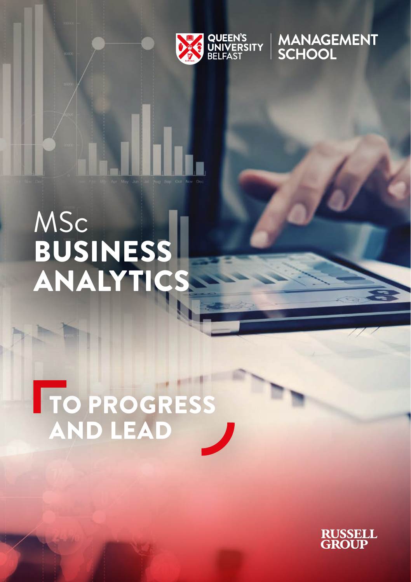

MANAGEMENT<br>SCHOOL

# MSc BUSINESS ANALYTICS

# TO PROGRESS AND LEAD

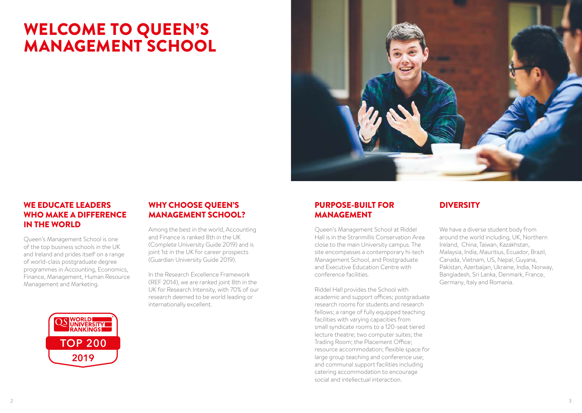## WELCOME TO QUEEN'S MANAGEMENT SCHOOL



## WE EDUCATE LEADERS WHO MAKE A DIFFERENCE IN THE WORLD

Queen's Management School is one of the top business schools in the UK and Ireland and prides itself on a range of world-class postgraduate degree programmes in Accounting, Economics, Finance, Management, Human Resource Management and Marketing.



### WHY CHOOSE QUEEN'S **DIVERSITY** PURPOSE-BUILT FOR DIVERSITY MANAGEMENT SCHOOL?

Among the best in the world, Accounting and Finance is ranked 8th in the UK (Complete University Guide 2019) and is joint 1st in the UK for career prospects (Guardian University Guide 2019).

In the Research Excellence Framework (REF 2014), we are ranked joint 8th in the UK for Research Intensity, with 70% of our research deemed to be world leading or internationally excellent.

### PURPOSE-BUILT FOR MANAGEMENT

Queen's Management School at Riddel Hall is in the Stranmillis Conservation Area close to the main University campus. The site encompasses a contemporary hi-tech Management School, and Postgraduate and Executive Education Centre with conference facilities.

Riddel Hall provides the School with academic and support offices; postgraduate research rooms for students and research fellows; a range of fully equipped teaching facilities with varying capacities from small syndicate rooms to a 120-seat tiered lecture theatre; two computer suites; the Trading Room; the Placement Office; resource accommodation; flexible space for large group teaching and conference use; and communal support facilities including catering accommodation to encourage social and intellectual interaction.

We have a diverse student body from around the world including, UK, Northern Ireland, China, Taiwan, Kazakhstan, Malaysia, India, Mauritius, Ecuador, Brazil, Canada, Vietnam, US, Nepal, Guyana, Pakistan, Azerbaijan, Ukraine, India, Norway, Bangladesh, Sri Lanka, Denmark, France, Germany, Italy and Romania.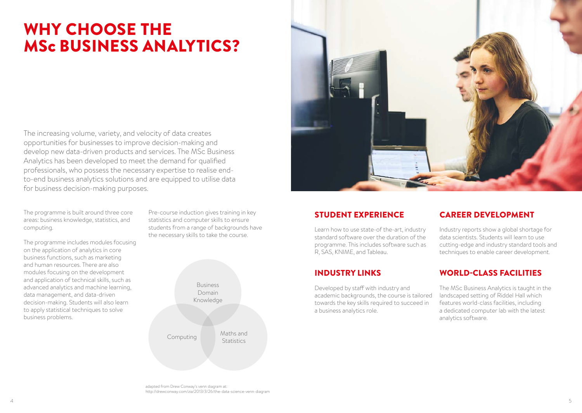## WHY CHOOSE THE MSc BUSINESS ANALYTICS?

The increasing volume, variety, and velocity of data creates opportunities for businesses to improve decision-making and develop new data-driven products and services. The MSc Business Analytics has been developed to meet the demand for qualified professionals, who possess the necessary expertise to realise endto-end business analytics solutions and are equipped to utilise data for business decision-making purposes.

The programme is built around three core areas: business knowledge, statistics, and computing.

The programme includes modules focusing on the application of analytics in core business functions, such as marketing and human resources. There are also modules focusing on the development and application of technical skills, such as advanced analytics and machine learning, data management, and data-driven decision-making. Students will also learn to apply statistical techniques to solve business problems.

Pre-course induction gives training in key statistics and computer skills to ensure students from a range of backgrounds have the necessary skills to take the course.

> Business Domain Knowledge Computing Maths and **Statistics**



Learn how to use state-of the-art, industry standard software over the duration of the programme. This includes software such as R, SAS, KNIME, and Tableau.

Developed by staff with industry and academic backgrounds, the course is tailored towards the key skills required to succeed in a business analytics role.

### STUDENT EXPERIENCE CAREER DEVELOPMENT

Industry reports show a global shortage for data scientists. Students will learn to use cutting-edge and industry standard tools and techniques to enable career development.

### INDUSTRY LINKS WORLD-CLASS FACILITIES

The MSc Business Analytics is taught in the landscaped setting of Riddel Hall which features world-class facilities, including a dedicated computer lab with the latest analytics software.

adapted from Drew Conway's venn diagram at: http://drewconway.com/zia/2013/3/26/the-data-science-venn-diagram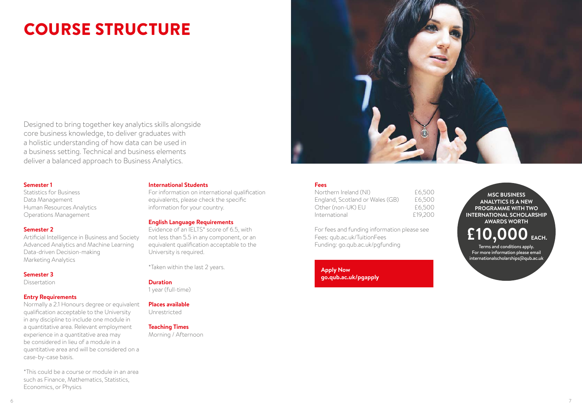# COURSE STRUCTURE



Designed to bring together key analytics skills alongside core business knowledge, to deliver graduates with a holistic understanding of how data can be used in a business setting. Technical and business elements deliver a balanced approach to Business Analytics.

#### **Semester 1**

Statistics for Business Data Management Human Resources Analytics Operations Management

#### **Semester 2**

Artificial Intelligence in Business and Society Advanced Analytics and Machine Learning Data-driven Decision-making Marketing Analytics

#### **Semester 3**

Dissertation

#### **Entry Requirements**

Normally a 2.1 Honours degree or equivalent qualification acceptable to the University in any discipline to include one module in a quantitative area. Relevant employment experience in a quantitative area may be considered in lieu of a module in a quantitative area and will be considered on a case-by-case basis.

\*This could be a course or module in an area such as Finance, Mathematics, Statistics, Economics, or Physics

#### **International Students**

For information on international qualification equivalents, please check the specific information for your country.

#### **English Language Requirements**

Evidence of an IELTS\* score of 6.5, with not less than 5.5 in any component, or an equivalent qualification acceptable to the University is required.

\*Taken within the last 2 years.

#### **Duration**

1 year (full-time)

#### **Places available**

Unrestricted

#### **Teaching Times**

Morning / Afternoon

#### **Fees**

| £6,500  |
|---------|
| £6,500  |
| £6,500  |
| £19,200 |
|         |

For fees and funding information please see Fees: qub.ac.uk/TuitionFees Funding: go.qub.ac.uk/pgfunding

**Apply Now go.qub.ac.uk/pgapply**

**MSC BUSINESS ANALYTICS IS A NEW PROGRAMME WITH TWO INTERNATIONAL SCHOLARSHIP AWARDS WORTH**

**£10,000EACH.**

Terms and conditions apply. For more information please email internationalscholarships@qub.ac.uk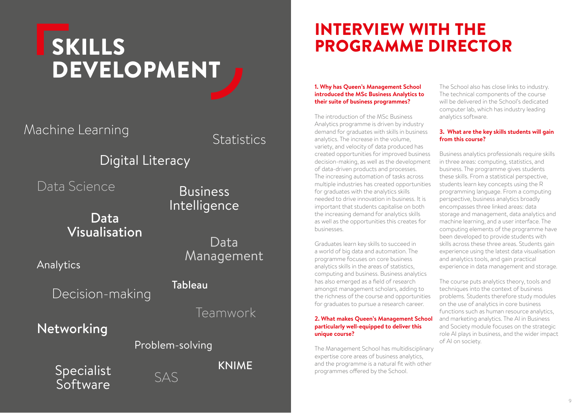# **SKILLS** DEVELOPMENT

Machine Learning

**Statistics** 

## Digital Literacy

Data Science

Data Visualisation

Analytics

Decision-making

Networking

## Business Intelligence

Data Management

## Tableau

Teamwork

KNIME

## Specialist **Software**



Problem-solving

## INTERVIEW WITH THE PROGRAMME DIRECTOR

#### **1. Why has Queen's Management School introduced the MSc Business Analytics to their suite of business programmes?**

The introduction of the MSc Business Analytics programme is driven by industry demand for graduates with skills in business analytics. The increase in the volume, variety, and velocity of data produced has created opportunities for improved business decision-making, as well as the development of data-driven products and processes. The increasing automation of tasks across multiple industries has created opportunities for graduates with the analytics skills needed to drive innovation in business. It is important that students capitalise on both the increasing demand for analytics skills as well as the opportunities this creates for businesses.

Graduates learn key skills to succeed in a world of big data and automation. The programme focuses on core business analytics skills in the areas of statistics, computing and business. Business analytics has also emerged as a field of research amongst management scholars, adding to the richness of the course and opportunities for graduates to pursue a research career.

#### **2. What makes Queen's Management School particularly well-equipped to deliver this unique course?**

The Management School has multidisciplinary expertise core areas of business analytics, and the programme is a natural fit with other programmes offered by the School.

The School also has close links to industry. The technical components of the course will be delivered in the School's dedicated computer lab, which has industry leading analytics software.

#### **3. What are the key skills students will gain from this course?**

Business analytics professionals require skills in three areas: computing, statistics, and business. The programme gives students these skills. From a statistical perspective, students learn key concepts using the R programming language. From a computing perspective, business analytics broadly encompasses three linked areas: data storage and management, data analytics and machine learning, and a user interface. The computing elements of the programme have been developed to provide students with skills across these three areas. Students gain experience using the latest data visualisation and analytics tools, and gain practical experience in data management and storage.

The course puts analytics theory, tools and techniques into the context of business problems. Students therefore study modules on the use of analytics in core business functions such as human resource analytics, and marketing analytics. The AI in Business and Society module focuses on the strategic role AI plays in business, and the wider impact of AI on society.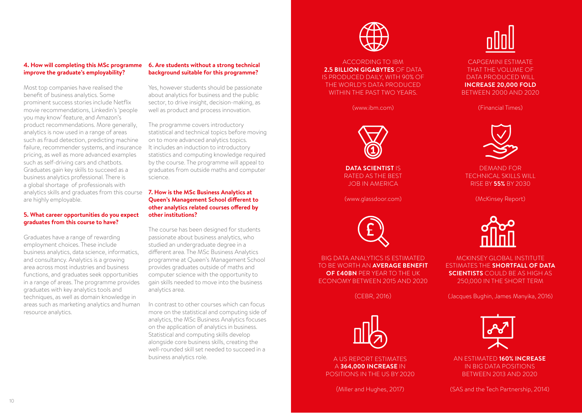#### **4. How will completing this MSc programme improve the graduate's employability?**

Most top companies have realised the benefit of business analytics. Some prominent success stories include Netflix movie recommendations, Linkedin's 'people you may know' feature, and Amazon's product recommendations. More generally, analytics is now used in a range of areas such as fraud detection, predicting machine failure, recommender systems, and insurance pricing, as well as more advanced examples such as self-driving cars and chatbots. Graduates gain key skills to succeed as a business analytics professional. There is a global shortage of professionals with analytics skills and graduates from this course are highly employable.

#### **5. What career opportunities do you expect graduates from this course to have?**

Graduates have a range of rewarding employment choices. These include business analytics, data science, informatics, and consultancy. Analytics is a growing area across most industries and business functions, and graduates seek opportunities in a range of areas. The programme provides graduates with key analytics tools and techniques, as well as domain knowledge in areas such as marketing analytics and human resource analytics.

#### **6. Are students without a strong technical background suitable for this programme?**

Yes, however students should be passionate about analytics for business and the public sector, to drive insight, decision-making, as well as product and process innovation.

The programme covers introductory statistical and technical topics before moving on to more advanced analytics topics. It includes an induction to introductory statistics and computing knowledge required by the course. The programme will appeal to graduates from outside maths and computer science.

#### **7. How is the MSc Business Analytics at Queen's Management School different to other analytics related courses offered by other institutions?**

The course has been designed for students passionate about business analytics, who studied an undergraduate degree in a different area. The MSc Business Analytics programme at Queen's Management School provides graduates outside of maths and computer science with the opportunity to gain skills needed to move into the business analytics area.

In contrast to other courses which can focus more on the statistical and computing side of analytics, the MSc Business Analytics focuses on the application of analytics in business. Statistical and computing skills develop alongside core business skills, creating the well-rounded skill set needed to succeed in a business analytics role.



ACCORDING TO IBM **2.5 BILLION GIGABYTES** OF DATA IS PRODUCED DAILY, WITH 90% OF THE WORLD'S DATA PRODUCED WITHIN THE PAST TWO YEARS.

(www.ibm.com)



**DATA SCIENTIST** IS RATED AS THE BEST JOB IN AMERICA

(www.glassdoor.com)



BIG DATA ANALYTICS IS ESTIMATED TO BE WORTH AN **AVERAGE BENEFIT OF £40BN** PER YEAR TO THE UK ECONOMY BETWEEN 2015 AND 2020

(CEBR, 2016)



A US REPORT ESTIMATES A **364,000 INCREASE** IN POSITIONS IN THE US BY 2020

(Miller and Hughes, 2017)



CAPGEMINI ESTIMATE THAT THE VOLUME OF DATA PRODUCED WILL **INCREASE 20,000 FOLD** BETWEEN 2000 AND 2020

(Financial Times)



DEMAND FOR TECHNICAL SKILLS WILL RISE BY **55%** BY 2030

(McKinsey Report)



MCKINSEY GLOBAL INSTITUTE ESTIMATES THE **SHORTFALL OF DATA SCIENTISTS** COULD BE AS HIGH AS 250,000 IN THE SHORT TERM

(Jacques Bughin, James Manyika, 2016)



AN ESTIMATED **160% INCREASE** IN BIG DATA POSITIONS BETWEEN 2013 AND 2020

(SAS and the Tech Partnership, 2014)